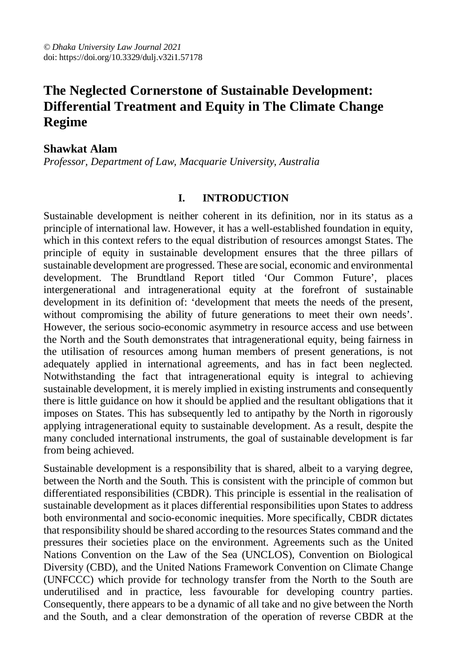# **The Neglected Cornerstone of Sustainable Development: Differential Treatment and Equity in The Climate Change Regime**

### **Shawkat Alam**

*Professor, Department of Law, Macquarie University, Australia*

#### **I. INTRODUCTION**

Sustainable development is neither coherent in its definition, nor in its status as a principle of international law. However, it has a well-established foundation in equity, which in this context refers to the equal distribution of resources amongst States. The principle of equity in sustainable development ensures that the three pillars of sustainable development are progressed. These are social, economic and environmental development. The Brundtland Report titled 'Our Common Future', places intergenerational and intragenerational equity at the forefront of sustainable development in its definition of: 'development that meets the needs of the present, without compromising the ability of future generations to meet their own needs'. However, the serious socio-economic asymmetry in resource access and use between the North and the South demonstrates that intragenerational equity, being fairness in the utilisation of resources among human members of present generations, is not adequately applied in international agreements, and has in fact been neglected. Notwithstanding the fact that intragenerational equity is integral to achieving sustainable development, it is merely implied in existing instruments and consequently there is little guidance on how it should be applied and the resultant obligations that it imposes on States. This has subsequently led to antipathy by the North in rigorously applying intragenerational equity to sustainable development. As a result, despite the many concluded international instruments, the goal of sustainable development is far from being achieved.

Sustainable development is a responsibility that is shared, albeit to a varying degree, between the North and the South. This is consistent with the principle of common but differentiated responsibilities (CBDR). This principle is essential in the realisation of sustainable development as it places differential responsibilities upon States to address both environmental and socio-economic inequities. More specifically, CBDR dictates that responsibility should be shared according to the resources States command and the pressures their societies place on the environment. Agreements such as the United Nations Convention on the Law of the Sea (UNCLOS), Convention on Biological Diversity (CBD), and the United Nations Framework Convention on Climate Change (UNFCCC) which provide for technology transfer from the North to the South are underutilised and in practice, less favourable for developing country parties. Consequently, there appears to be a dynamic of all take and no give between the North and the South, and a clear demonstration of the operation of reverse CBDR at the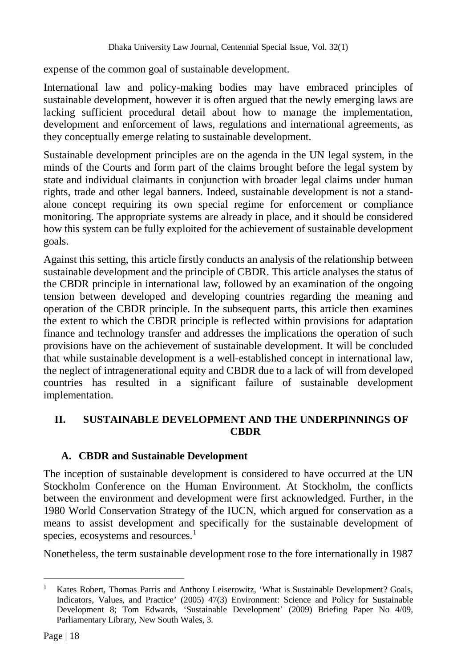expense of the common goal of sustainable development.

International law and policy-making bodies may have embraced principles of sustainable development, however it is often argued that the newly emerging laws are lacking sufficient procedural detail about how to manage the implementation, development and enforcement of laws, regulations and international agreements, as they conceptually emerge relating to sustainable development.

Sustainable development principles are on the agenda in the UN legal system, in the minds of the Courts and form part of the claims brought before the legal system by state and individual claimants in conjunction with broader legal claims under human rights, trade and other legal banners. Indeed, sustainable development is not a standalone concept requiring its own special regime for enforcement or compliance monitoring. The appropriate systems are already in place, and it should be considered how this system can be fully exploited for the achievement of sustainable development goals.

Against this setting, this article firstly conducts an analysis of the relationship between sustainable development and the principle of CBDR. This article analyses the status of the CBDR principle in international law, followed by an examination of the ongoing tension between developed and developing countries regarding the meaning and operation of the CBDR principle. In the subsequent parts, this article then examines the extent to which the CBDR principle is reflected within provisions for adaptation finance and technology transfer and addresses the implications the operation of such provisions have on the achievement of sustainable development. It will be concluded that while sustainable development is a well-established concept in international law, the neglect of intragenerational equity and CBDR due to a lack of will from developed countries has resulted in a significant failure of sustainable development implementation.

## **II. SUSTAINABLE DEVELOPMENT AND THE UNDERPINNINGS OF CBDR**

## **A. CBDR and Sustainable Development**

The inception of sustainable development is considered to have occurred at the UN Stockholm Conference on the Human Environment. At Stockholm, the conflicts between the environment and development were first acknowledged. Further, in the 1980 World Conservation Strategy of the IUCN, which argued for conservation as a means to assist development and specifically for the sustainable development of species, ecosystems and resources.<sup>1</sup>

Nonetheless, the term sustainable development rose to the fore internationally in 1987

l <sup>1</sup> Kates Robert, Thomas Parris and Anthony Leiserowitz, 'What is Sustainable Development? Goals, Indicators, Values, and Practice' (2005) 47(3) Environment: Science and Policy for Sustainable Development 8; Tom Edwards, 'Sustainable Development' (2009) Briefing Paper No 4/09, Parliamentary Library, New South Wales, 3.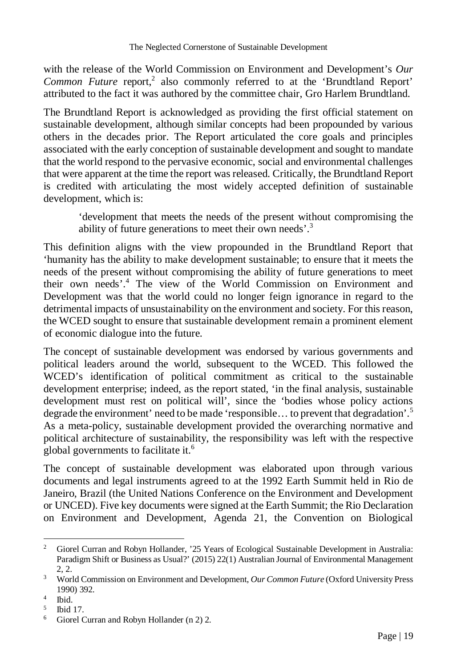with the release of the World Commission on Environment and Development's *Our*  Common Future report,<sup>2</sup> also commonly referred to at the 'Brundtland Report' attributed to the fact it was authored by the committee chair, Gro Harlem Brundtland.

The Brundtland Report is acknowledged as providing the first official statement on sustainable development, although similar concepts had been propounded by various others in the decades prior. The Report articulated the core goals and principles associated with the early conception of sustainable development and sought to mandate that the world respond to the pervasive economic, social and environmental challenges that were apparent at the time the report was released. Critically, the Brundtland Report is credited with articulating the most widely accepted definition of sustainable development, which is:

'development that meets the needs of the present without compromising the ability of future generations to meet their own needs'.<sup>3</sup>

This definition aligns with the view propounded in the Brundtland Report that 'humanity has the ability to make development sustainable; to ensure that it meets the needs of the present without compromising the ability of future generations to meet their own needs'.<sup>4</sup> The view of the World Commission on Environment and Development was that the world could no longer feign ignorance in regard to the detrimental impacts of unsustainability on the environment and society. For this reason, the WCED sought to ensure that sustainable development remain a prominent element of economic dialogue into the future.

The concept of sustainable development was endorsed by various governments and political leaders around the world, subsequent to the WCED. This followed the WCED's identification of political commitment as critical to the sustainable development enterprise; indeed, as the report stated, 'in the final analysis, sustainable development must rest on political will', since the 'bodies whose policy actions degrade the environment' need to be made 'responsible... to prevent that degradation'.<sup>5</sup> As a meta-policy, sustainable development provided the overarching normative and political architecture of sustainability, the responsibility was left with the respective global governments to facilitate it.<sup>6</sup>

The concept of sustainable development was elaborated upon through various documents and legal instruments agreed to at the 1992 Earth Summit held in Rio de Janeiro, Brazil (the United Nations Conference on the Environment and Development or UNCED). Five key documents were signed at the Earth Summit; the Rio Declaration on Environment and Development, Agenda 21, the Convention on Biological

<sup>&</sup>lt;sup>2</sup> Giorel Curran and Robyn Hollander, '25 Years of Ecological Sustainable Development in Australia: Paradigm Shift or Business as Usual?' (2015) 22(1) Australian Journal of Environmental Management 2, 2.

<sup>3</sup> World Commission on Environment and Development, *Our Common Future* (Oxford University Press 1990) 392.

<sup>4</sup> Ibid.

<sup>5</sup> Ibid 17.

<sup>6</sup> Giorel Curran and Robyn Hollander (n 2) 2.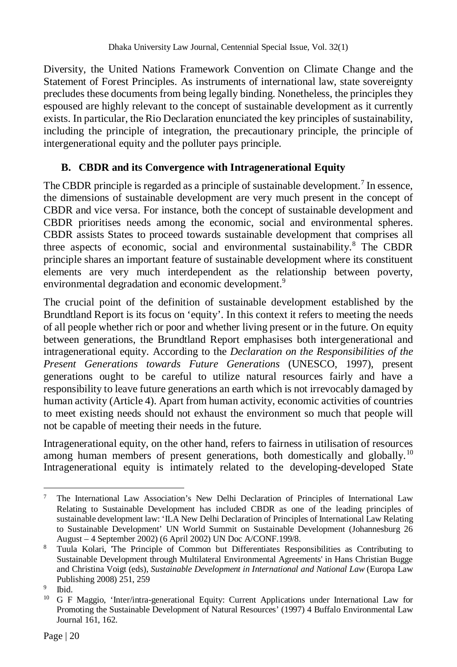Diversity, the United Nations Framework Convention on Climate Change and the Statement of Forest Principles. As instruments of international law, state sovereignty precludes these documents from being legally binding. Nonetheless, the principles they espoused are highly relevant to the concept of sustainable development as it currently exists. In particular, the Rio Declaration enunciated the key principles of sustainability, including the principle of integration, the precautionary principle, the principle of intergenerational equity and the polluter pays principle.

## **B. CBDR and its Convergence with Intragenerational Equity**

The CBDR principle is regarded as a principle of sustainable development.<sup>7</sup> In essence, the dimensions of sustainable development are very much present in the concept of CBDR and vice versa. For instance, both the concept of sustainable development and CBDR prioritises needs among the economic, social and environmental spheres. CBDR assists States to proceed towards sustainable development that comprises all three aspects of economic, social and environmental sustainability.<sup>8</sup> The CBDR principle shares an important feature of sustainable development where its constituent elements are very much interdependent as the relationship between poverty, environmental degradation and economic development.<sup>9</sup>

The crucial point of the definition of sustainable development established by the Brundtland Report is its focus on 'equity'. In this context it refers to meeting the needs of all people whether rich or poor and whether living present or in the future. On equity between generations, the Brundtland Report emphasises both intergenerational and intragenerational equity. According to the *Declaration on the Responsibilities of the Present Generations towards Future Generations* (UNESCO, 1997), present generations ought to be careful to utilize natural resources fairly and have a responsibility to leave future generations an earth which is not irrevocably damaged by human activity (Article 4). Apart from human activity, economic activities of countries to meet existing needs should not exhaust the environment so much that people will not be capable of meeting their needs in the future.

Intragenerational equity, on the other hand, refers to fairness in utilisation of resources among human members of present generations, both domestically and globally.<sup>10</sup> Intragenerational equity is intimately related to the developing-developed State

 $\overline{a}$ <sup>7</sup> The International Law Association's New Delhi Declaration of Principles of International Law Relating to Sustainable Development has included CBDR as one of the leading principles of sustainable development law: 'ILA New Delhi Declaration of Principles of International Law Relating to Sustainable Development' UN World Summit on Sustainable Development (Johannesburg 26 August – 4 September 2002) (6 April 2002) UN Doc A/CONF.199/8.

<sup>&</sup>lt;sup>8</sup> Tuula Kolari, The Principle of Common but Differentiates Responsibilities as Contributing to Sustainable Development through Multilateral Environmental Agreements' in Hans Christian Bugge and Christina Voigt (eds), *Sustainable Development in International and National Law* (Europa Law Publishing 2008) 251, 259

<sup>9</sup> Ibid.

<sup>&</sup>lt;sup>10</sup> G F Maggio, 'Inter/intra-generational Equity: Current Applications under International Law for Promoting the Sustainable Development of Natural Resources' (1997) 4 Buffalo Environmental Law Journal 161, 162.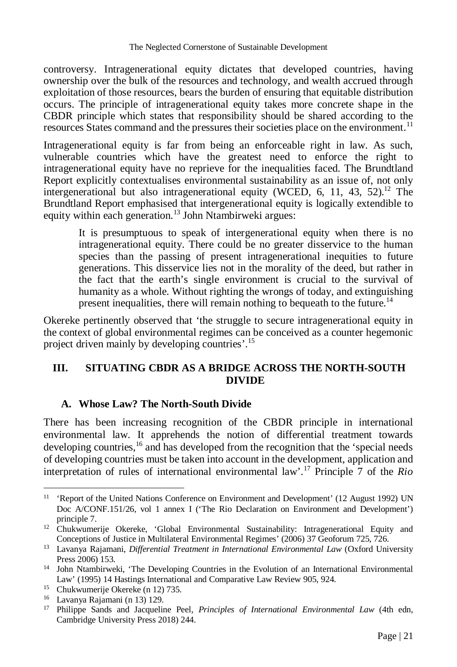controversy. Intragenerational equity dictates that developed countries, having ownership over the bulk of the resources and technology, and wealth accrued through exploitation of those resources, bears the burden of ensuring that equitable distribution occurs. The principle of intragenerational equity takes more concrete shape in the CBDR principle which states that responsibility should be shared according to the resources States command and the pressures their societies place on the environment.<sup>11</sup>

Intragenerational equity is far from being an enforceable right in law. As such, vulnerable countries which have the greatest need to enforce the right to intragenerational equity have no reprieve for the inequalities faced. The Brundtland Report explicitly contextualises environmental sustainability as an issue of, not only intergenerational but also intragenerational equity (WCED, 6, 11, 43, 52).<sup>12</sup> The Brundtland Report emphasised that intergenerational equity is logically extendible to equity within each generation.<sup>13</sup> John Ntambirweki argues:

It is presumptuous to speak of intergenerational equity when there is no intragenerational equity. There could be no greater disservice to the human species than the passing of present intragenerational inequities to future generations. This disservice lies not in the morality of the deed, but rather in the fact that the earth's single environment is crucial to the survival of humanity as a whole. Without righting the wrongs of today, and extinguishing present inequalities, there will remain nothing to bequeath to the future.<sup>14</sup>

Okereke pertinently observed that 'the struggle to secure intragenerational equity in the context of global environmental regimes can be conceived as a counter hegemonic project driven mainly by developing countries'.<sup>15</sup>

## **III. SITUATING CBDR AS A BRIDGE ACROSS THE NORTH-SOUTH DIVIDE**

## **A. Whose Law? The North-South Divide**

There has been increasing recognition of the CBDR principle in international environmental law. It apprehends the notion of differential treatment towards developing countries,  $^{16}$  and has developed from the recognition that the 'special needs of developing countries must be taken into account in the development, application and interpretation of rules of international environmental law'.<sup>17</sup> Principle 7 of the *Rio* 

 $\overline{a}$ <sup>11</sup> 'Report of the United Nations Conference on Environment and Development' (12 August 1992) UN Doc A/CONF.151/26, vol 1 annex I ('The Rio Declaration on Environment and Development') principle 7.

<sup>&</sup>lt;sup>12</sup> Chukwumerije Okereke, 'Global Environmental Sustainability: Intragenerational Equity and Conceptions of Justice in Multilateral Environmental Regimes' (2006) 37 Geoforum 725, 726.

<sup>13</sup> Lavanya Rajamani, *Differential Treatment in International Environmental Law* (Oxford University Press 2006) 153.

<sup>&</sup>lt;sup>14</sup> John Ntambirweki, 'The Developing Countries in the Evolution of an International Environmental Law' (1995) 14 Hastings International and Comparative Law Review 905, 924.

<sup>15</sup> Chukwumerije Okereke (n 12) 735.

<sup>16</sup> Lavanya Rajamani (n 13) 129.

<sup>17</sup> Philippe Sands and Jacqueline Peel, *Principles of International Environmental Law* (4th edn, Cambridge University Press 2018) 244.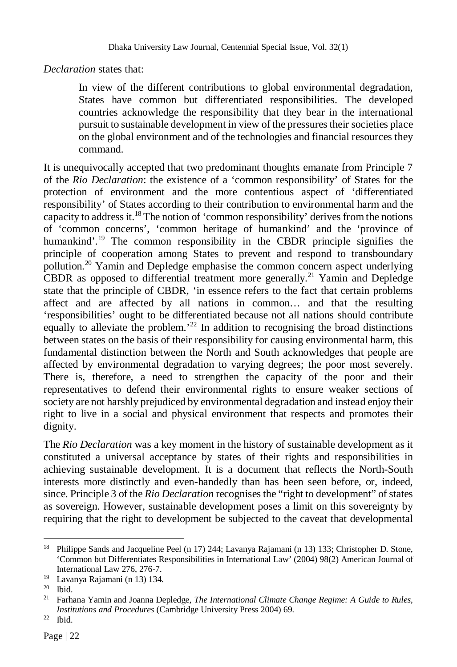*Declaration* states that:

In view of the different contributions to global environmental degradation, States have common but differentiated responsibilities. The developed countries acknowledge the responsibility that they bear in the international pursuit to sustainable development in view of the pressures their societies place on the global environment and of the technologies and financial resources they command.

It is unequivocally accepted that two predominant thoughts emanate from Principle 7 of the *Rio Declaration*: the existence of a 'common responsibility' of States for the protection of environment and the more contentious aspect of 'differentiated responsibility' of States according to their contribution to environmental harm and the capacity to address it.<sup>18</sup> The notion of 'common responsibility' derives from the notions of 'common concerns', 'common heritage of humankind' and the 'province of humankind'.<sup>19</sup> The common responsibility in the CBDR principle signifies the principle of cooperation among States to prevent and respond to transboundary pollution.<sup>20</sup> Yamin and Depledge emphasise the common concern aspect underlying CBDR as opposed to differential treatment more generally.<sup>21</sup> Yamin and Depledge state that the principle of CBDR, 'in essence refers to the fact that certain problems affect and are affected by all nations in common… and that the resulting 'responsibilities' ought to be differentiated because not all nations should contribute equally to alleviate the problem.<sup> $22$ </sup> In addition to recognising the broad distinctions between states on the basis of their responsibility for causing environmental harm, this fundamental distinction between the North and South acknowledges that people are affected by environmental degradation to varying degrees; the poor most severely. There is, therefore, a need to strengthen the capacity of the poor and their representatives to defend their environmental rights to ensure weaker sections of society are not harshly prejudiced by environmental degradation and instead enjoy their right to live in a social and physical environment that respects and promotes their dignity.

The *Rio Declaration* was a key moment in the history of sustainable development as it constituted a universal acceptance by states of their rights and responsibilities in achieving sustainable development. It is a document that reflects the North-South interests more distinctly and even-handedly than has been seen before, or, indeed, since. Principle 3 of the *Rio Declaration* recognises the "right to development" of states as sovereign. However, sustainable development poses a limit on this sovereignty by requiring that the right to development be subjected to the caveat that developmental

<sup>&</sup>lt;sup>18</sup> Philippe Sands and Jacqueline Peel (n 17) 244; Lavanya Rajamani (n 13) 133; Christopher D. Stone, 'Common but Differentiates Responsibilities in International Law' (2004) 98(2) American Journal of International Law 276, 276-7.

<sup>19</sup> Lavanya Rajamani (n 13) 134.

<sup>20</sup> Ibid.

<sup>21</sup> Farhana Yamin and Joanna Depledge, *The International Climate Change Regime: A Guide to Rules, Institutions and Procedures* (Cambridge University Press 2004) 69.

<sup>22</sup> Ibid.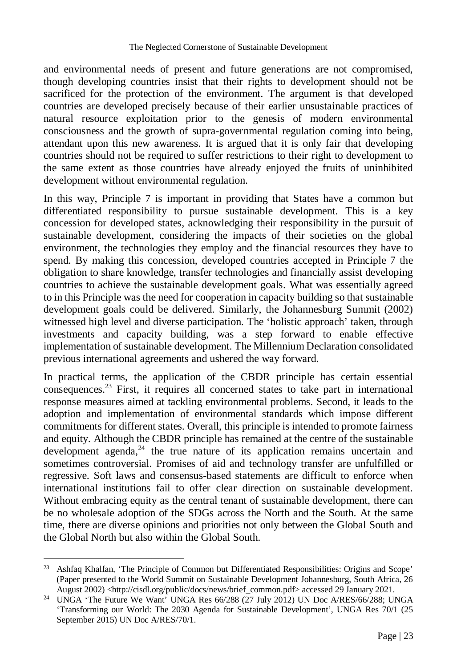and environmental needs of present and future generations are not compromised, though developing countries insist that their rights to development should not be sacrificed for the protection of the environment. The argument is that developed countries are developed precisely because of their earlier unsustainable practices of natural resource exploitation prior to the genesis of modern environmental consciousness and the growth of supra-governmental regulation coming into being, attendant upon this new awareness. It is argued that it is only fair that developing countries should not be required to suffer restrictions to their right to development to the same extent as those countries have already enjoyed the fruits of uninhibited development without environmental regulation.

In this way, Principle 7 is important in providing that States have a common but differentiated responsibility to pursue sustainable development. This is a key concession for developed states, acknowledging their responsibility in the pursuit of sustainable development, considering the impacts of their societies on the global environment, the technologies they employ and the financial resources they have to spend. By making this concession, developed countries accepted in Principle 7 the obligation to share knowledge, transfer technologies and financially assist developing countries to achieve the sustainable development goals. What was essentially agreed to in this Principle was the need for cooperation in capacity building so that sustainable development goals could be delivered. Similarly, the Johannesburg Summit (2002) witnessed high level and diverse participation. The 'holistic approach' taken, through investments and capacity building, was a step forward to enable effective implementation of sustainable development. The Millennium Declaration consolidated previous international agreements and ushered the way forward.

In practical terms, the application of the CBDR principle has certain essential consequences.<sup>23</sup> First, it requires all concerned states to take part in international response measures aimed at tackling environmental problems. Second, it leads to the adoption and implementation of environmental standards which impose different commitments for different states. Overall, this principle is intended to promote fairness and equity. Although the CBDR principle has remained at the centre of the sustainable development agenda, $^{24}$  the true nature of its application remains uncertain and sometimes controversial. Promises of aid and technology transfer are unfulfilled or regressive. Soft laws and consensus-based statements are difficult to enforce when international institutions fail to offer clear direction on sustainable development. Without embracing equity as the central tenant of sustainable development, there can be no wholesale adoption of the SDGs across the North and the South. At the same time, there are diverse opinions and priorities not only between the Global South and the Global North but also within the Global South.

 $\overline{a}$ <sup>23</sup> Ashfaq Khalfan, 'The Principle of Common but Differentiated Responsibilities: Origins and Scope' (Paper presented to the World Summit on Sustainable Development Johannesburg, South Africa, 26 August 2002) <http://cisdl.org/public/docs/news/brief\_common.pdf> accessed 29 January 2021.

<sup>24</sup> UNGA 'The Future We Want' UNGA Res 66/288 (27 July 2012) UN Doc A/RES/66/288; UNGA 'Transforming our World: The 2030 Agenda for Sustainable Development', UNGA Res 70/1 (25 September 2015) UN Doc A/RES/70/1.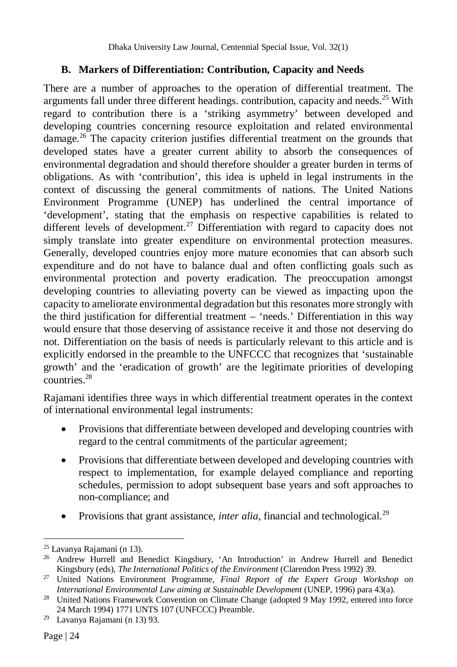## **B. Markers of Differentiation: Contribution, Capacity and Needs**

There are a number of approaches to the operation of differential treatment. The arguments fall under three different headings. contribution, capacity and needs.<sup>25</sup> With regard to contribution there is a 'striking asymmetry' between developed and developing countries concerning resource exploitation and related environmental damage.<sup>26</sup> The capacity criterion justifies differential treatment on the grounds that developed states have a greater current ability to absorb the consequences of environmental degradation and should therefore shoulder a greater burden in terms of obligations. As with 'contribution', this idea is upheld in legal instruments in the context of discussing the general commitments of nations. The United Nations Environment Programme (UNEP) has underlined the central importance of 'development', stating that the emphasis on respective capabilities is related to different levels of development.<sup>27</sup> Differentiation with regard to capacity does not simply translate into greater expenditure on environmental protection measures. Generally, developed countries enjoy more mature economies that can absorb such expenditure and do not have to balance dual and often conflicting goals such as environmental protection and poverty eradication. The preoccupation amongst developing countries to alleviating poverty can be viewed as impacting upon the capacity to ameliorate environmental degradation but this resonates more strongly with the third justification for differential treatment – 'needs.' Differentiation in this way would ensure that those deserving of assistance receive it and those not deserving do not. Differentiation on the basis of needs is particularly relevant to this article and is explicitly endorsed in the preamble to the UNFCCC that recognizes that 'sustainable growth' and the 'eradication of growth' are the legitimate priorities of developing countries.<sup>28</sup>

Rajamani identifies three ways in which differential treatment operates in the context of international environmental legal instruments:

- Provisions that differentiate between developed and developing countries with regard to the central commitments of the particular agreement;
- Provisions that differentiate between developed and developing countries with respect to implementation, for example delayed compliance and reporting schedules, permission to adopt subsequent base years and soft approaches to non-compliance; and
- Provisions that grant assistance, *inter alia*, financial and technological.<sup>29</sup>

 $\overline{a}$ <sup>25</sup> Lavanya Rajamani (n 13).

<sup>26</sup> Andrew Hurrell and Benedict Kingsbury, 'An Introduction' in Andrew Hurrell and Benedict Kingsbury (eds), *The International Politics of the Environment* (Clarendon Press 1992) 39.

<sup>27</sup> United Nations Environment Programme*, Final Report of the Expert Group Workshop on International Environmental Law aiming at Sustainable Development* (UNEP, 1996) para 43(a).

<sup>&</sup>lt;sup>28</sup> United Nations Framework Convention on Climate Change (adopted 9 May 1992, entered into force 24 March 1994) 1771 UNTS 107 (UNFCCC) Preamble.

<sup>29</sup> Lavanya Rajamani (n 13) 93.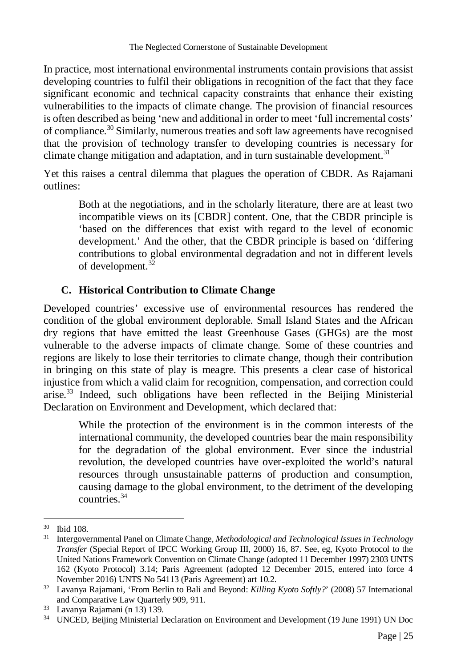In practice, most international environmental instruments contain provisions that assist developing countries to fulfil their obligations in recognition of the fact that they face significant economic and technical capacity constraints that enhance their existing vulnerabilities to the impacts of climate change. The provision of financial resources is often described as being 'new and additional in order to meet 'full incremental costs' of compliance.<sup>30</sup> Similarly, numerous treaties and soft law agreements have recognised that the provision of technology transfer to developing countries is necessary for climate change mitigation and adaptation, and in turn sustainable development.<sup>31</sup>

Yet this raises a central dilemma that plagues the operation of CBDR. As Rajamani outlines:

Both at the negotiations, and in the scholarly literature, there are at least two incompatible views on its [CBDR] content. One, that the CBDR principle is 'based on the differences that exist with regard to the level of economic development.' And the other, that the CBDR principle is based on 'differing contributions to global environmental degradation and not in different levels of development.<sup>32</sup>

## **C. Historical Contribution to Climate Change**

Developed countries' excessive use of environmental resources has rendered the condition of the global environment deplorable. Small Island States and the African dry regions that have emitted the least Greenhouse Gases (GHGs) are the most vulnerable to the adverse impacts of climate change. Some of these countries and regions are likely to lose their territories to climate change, though their contribution in bringing on this state of play is meagre. This presents a clear case of historical injustice from which a valid claim for recognition, compensation, and correction could arise.<sup>33</sup> Indeed, such obligations have been reflected in the Beijing Ministerial Declaration on Environment and Development, which declared that:

While the protection of the environment is in the common interests of the international community, the developed countries bear the main responsibility for the degradation of the global environment. Ever since the industrial revolution, the developed countries have over-exploited the world's natural resources through unsustainable patterns of production and consumption, causing damage to the global environment, to the detriment of the developing countries<sup>34</sup>

 $\overline{a}$ <sup>30</sup> Ibid 108.

<sup>31</sup> Intergovernmental Panel on Climate Change, *Methodological and Technological Issues in Technology Transfer* (Special Report of IPCC Working Group III, 2000) 16, 87. See, eg, Kyoto Protocol to the United Nations Framework Convention on Climate Change (adopted 11 December 1997) 2303 UNTS 162 (Kyoto Protocol) 3.14; Paris Agreement (adopted 12 December 2015, entered into force 4 November 2016) UNTS No 54113 (Paris Agreement) art 10.2.

<sup>32</sup> Lavanya Rajamani, 'From Berlin to Bali and Beyond: *Killing Kyoto Softly?*' (2008) 57 International and Comparative Law Quarterly 909, 911.

<sup>33</sup> Lavanya Rajamani (n 13) 139.

<sup>34</sup> UNCED, Beijing Ministerial Declaration on Environment and Development (19 June 1991) UN Doc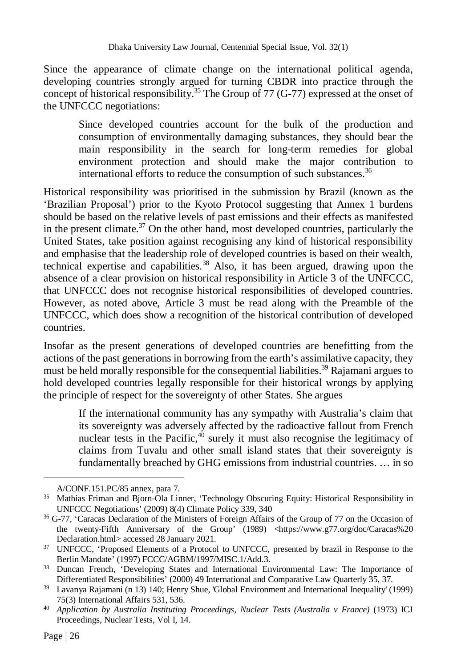Since the appearance of climate change on the international political agenda, developing countries strongly argued for turning CBDR into practice through the concept of historical responsibility.<sup>35</sup> The Group of 77 (G-77) expressed at the onset of the UNFCCC negotiations:

Since developed countries account for the bulk of the production and consumption of environmentally damaging substances, they should bear the main responsibility in the search for long-term remedies for global environment protection and should make the major contribution to international efforts to reduce the consumption of such substances.<sup>36</sup>

Historical responsibility was prioritised in the submission by Brazil (known as the 'Brazilian Proposal') prior to the Kyoto Protocol suggesting that Annex 1 burdens should be based on the relative levels of past emissions and their effects as manifested in the present climate.<sup>37</sup> On the other hand, most developed countries, particularly the United States, take position against recognising any kind of historical responsibility and emphasise that the leadership role of developed countries is based on their wealth, technical expertise and capabilities.<sup>38</sup> Also, it has been argued, drawing upon the absence of a clear provision on historical responsibility in Article 3 of the UNFCCC, that UNFCCC does not recognise historical responsibilities of developed countries. However, as noted above, Article 3 must be read along with the Preamble of the UNFCCC, which does show a recognition of the historical contribution of developed countries.

Insofar as the present generations of developed countries are benefitting from the actions of the past generations in borrowing from the earth's assimilative capacity, they must be held morally responsible for the consequential liabilities.<sup>39</sup> Rajamani argues to hold developed countries legally responsible for their historical wrongs by applying the principle of respect for the sovereignty of other States. She argues

If the international community has any sympathy with Australia's claim that its sovereignty was adversely affected by the radioactive fallout from French nuclear tests in the Pacific, $40$  surely it must also recognise the legitimacy of claims from Tuvalu and other small island states that their sovereignty is fundamentally breached by GHG emissions from industrial countries. … in so

A/CONF.151.PC/85 annex, para 7.

<sup>&</sup>lt;sup>35</sup> Mathias Friman and Bjorn-Ola Linner, 'Technology Obscuring Equity: Historical Responsibility in UNFCCC Negotiations' (2009) 8(4) Climate Policy 339, 340

<sup>36</sup> G-77, 'Caracas Declaration of the Ministers of Foreign Affairs of the Group of 77 on the Occasion of the twenty-Fifth Anniversary of the Group' (1989) <https://www.g77.org/doc/Caracas%20 Declaration.html> accessed 28 January 2021.

<sup>&</sup>lt;sup>37</sup> UNFCCC, 'Proposed Elements of a Protocol to UNFCCC, presented by brazil in Response to the Berlin Mandate' (1997) FCCC/AGBM/1997/MISC.1/Add.3.

<sup>&</sup>lt;sup>38</sup> Duncan French, 'Developing States and International Environmental Law: The Importance of Differentiated Responsibilities' (2000) 49 International and Comparative Law Quarterly 35, 37.

<sup>39</sup> Lavanya Rajamani (n 13) 140; Henry Shue, 'Global Environment and International Inequality' (1999) 75(3) International Affairs 531, 536.

<sup>40</sup> *Application by Australia Instituting Proceedings, Nuclear Tests (Australia v France)* (1973) ICJ Proceedings, Nuclear Tests, Vol I, 14.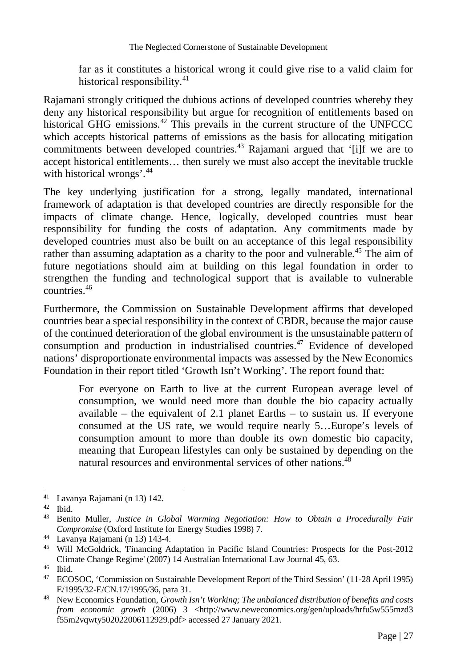far as it constitutes a historical wrong it could give rise to a valid claim for historical responsibility. $41$ 

Rajamani strongly critiqued the dubious actions of developed countries whereby they deny any historical responsibility but argue for recognition of entitlements based on historical GHG emissions.<sup>42</sup> This prevails in the current structure of the UNFCCC which accepts historical patterns of emissions as the basis for allocating mitigation commitments between developed countries.<sup>43</sup> Rajamani argued that '[i]f we are to accept historical entitlements… then surely we must also accept the inevitable truckle with historical wrongs'.<sup>44</sup>

The key underlying justification for a strong, legally mandated, international framework of adaptation is that developed countries are directly responsible for the impacts of climate change. Hence, logically, developed countries must bear responsibility for funding the costs of adaptation. Any commitments made by developed countries must also be built on an acceptance of this legal responsibility rather than assuming adaptation as a charity to the poor and vulnerable.<sup>45</sup> The aim of future negotiations should aim at building on this legal foundation in order to strengthen the funding and technological support that is available to vulnerable countries.<sup>46</sup>

Furthermore, the Commission on Sustainable Development affirms that developed countries bear a special responsibility in the context of CBDR, because the major cause of the continued deterioration of the global environment is the unsustainable pattern of consumption and production in industrialised countries. $47$  Evidence of developed nations' disproportionate environmental impacts was assessed by the New Economics Foundation in their report titled 'Growth Isn't Working'. The report found that:

For everyone on Earth to live at the current European average level of consumption, we would need more than double the bio capacity actually available – the equivalent of 2.1 planet Earths – to sustain us. If everyone consumed at the US rate, we would require nearly 5…Europe's levels of consumption amount to more than double its own domestic bio capacity, meaning that European lifestyles can only be sustained by depending on the natural resources and environmental services of other nations.<sup>48</sup>

<sup>41</sup> Lavanya Rajamani (n 13) 142.

 $rac{42}{43}$  Ibid.

<sup>43</sup> Benito Muller, *Justice in Global Warming Negotiation: How to Obtain a Procedurally Fair Compromise* (Oxford Institute for Energy Studies 1998) 7.

<sup>44</sup> Lavanya Rajamani (n 13) 143-4.

<sup>45</sup> Will McGoldrick, 'Financing Adaptation in Pacific Island Countries: Prospects for the Post-2012 Climate Change Regime' (2007) 14 Australian International Law Journal 45, 63.

<sup>46</sup> Ibid.

<sup>47</sup> ECOSOC, 'Commission on Sustainable Development Report of the Third Session' (11-28 April 1995) E/1995/32-E/CN.17/1995/36, para 31.

<sup>48</sup> New Economics Foundation, *Growth Isn't Working; The unbalanced distribution of benefits and costs from economic growth* (2006) 3 <http://www.neweconomics.org/gen/uploads/hrfu5w555mzd3 f55m2vqwty502022006112929.pdf> accessed 27 January 2021.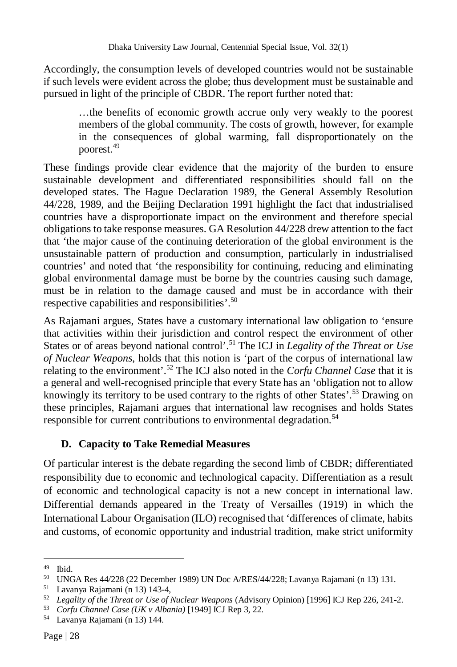Accordingly, the consumption levels of developed countries would not be sustainable if such levels were evident across the globe; thus development must be sustainable and pursued in light of the principle of CBDR. The report further noted that:

…the benefits of economic growth accrue only very weakly to the poorest members of the global community. The costs of growth, however, for example in the consequences of global warming, fall disproportionately on the poorest.<sup>49</sup>

These findings provide clear evidence that the majority of the burden to ensure sustainable development and differentiated responsibilities should fall on the developed states. The Hague Declaration 1989, the General Assembly Resolution 44/228, 1989, and the Beijing Declaration 1991 highlight the fact that industrialised countries have a disproportionate impact on the environment and therefore special obligations to take response measures. GA Resolution 44/228 drew attention to the fact that 'the major cause of the continuing deterioration of the global environment is the unsustainable pattern of production and consumption, particularly in industrialised countries' and noted that 'the responsibility for continuing, reducing and eliminating global environmental damage must be borne by the countries causing such damage, must be in relation to the damage caused and must be in accordance with their respective capabilities and responsibilities'.<sup>50</sup>

As Rajamani argues, States have a customary international law obligation to 'ensure that activities within their jurisdiction and control respect the environment of other States or of areas beyond national control'.<sup>51</sup> The ICJ in *Legality of the Threat or Use of Nuclear Weapons*, holds that this notion is 'part of the corpus of international law relating to the environment'.<sup>52</sup> The ICJ also noted in the *Corfu Channel Case* that it is a general and well-recognised principle that every State has an 'obligation not to allow knowingly its territory to be used contrary to the rights of other States'.<sup>53</sup> Drawing on these principles, Rajamani argues that international law recognises and holds States responsible for current contributions to environmental degradation.<sup>54</sup>

## **D. Capacity to Take Remedial Measures**

Of particular interest is the debate regarding the second limb of CBDR; differentiated responsibility due to economic and technological capacity. Differentiation as a result of economic and technological capacity is not a new concept in international law. Differential demands appeared in the Treaty of Versailles (1919) in which the International Labour Organisation (ILO) recognised that 'differences of climate, habits and customs, of economic opportunity and industrial tradition, make strict uniformity

 $\overline{a}$  $49$  Ibid.

<sup>50</sup> UNGA Res 44/228 (22 December 1989) UN Doc A/RES/44/228; Lavanya Rajamani (n 13) 131.

<sup>51</sup> Lavanya Rajamani (n 13) 143-4,

<sup>52</sup> *Legality of the Threat or Use of Nuclear Weapons* (Advisory Opinion) [1996] ICJ Rep 226, 241-2.

<sup>53</sup> *Corfu Channel Case (UK v Albania)* [1949] ICJ Rep 3, 22.

<sup>54</sup> Lavanya Rajamani (n 13) 144.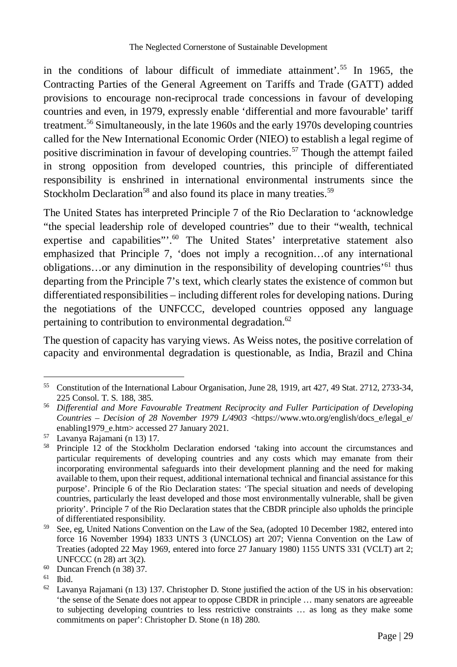in the conditions of labour difficult of immediate attainment'.<sup>55</sup> In 1965, the Contracting Parties of the General Agreement on Tariffs and Trade (GATT) added provisions to encourage non-reciprocal trade concessions in favour of developing countries and even, in 1979, expressly enable 'differential and more favourable' tariff treatment.<sup>56</sup> Simultaneously, in the late 1960s and the early 1970s developing countries called for the New International Economic Order (NIEO) to establish a legal regime of positive discrimination in favour of developing countries.<sup>57</sup> Though the attempt failed in strong opposition from developed countries, this principle of differentiated responsibility is enshrined in international environmental instruments since the Stockholm Declaration<sup>58</sup> and also found its place in many treaties.<sup>59</sup>

The United States has interpreted Principle 7 of the Rio Declaration to 'acknowledge "the special leadership role of developed countries" due to their "wealth, technical expertise and capabilities".<sup>60</sup> The United States' interpretative statement also emphasized that Principle 7, 'does not imply a recognition…of any international obligations...or any diminution in the responsibility of developing countries<sup>'61</sup> thus departing from the Principle 7's text, which clearly states the existence of common but differentiated responsibilities – including different roles for developing nations. During the negotiations of the UNFCCC, developed countries opposed any language pertaining to contribution to environmental degradation.<sup>62</sup>

The question of capacity has varying views. As Weiss notes, the positive correlation of capacity and environmental degradation is questionable, as India, Brazil and China

 $\overline{a}$ <sup>55</sup> Constitution of the International Labour Organisation, June 28, 1919, art 427, 49 Stat. 2712, 2733-34, 225 Consol. T. S. 188, 385.

<sup>56</sup> *Differential and More Favourable Treatment Reciprocity and Fuller Participation of Developing Countries – Decision of 28 November 1979 L/4903* <https://www.wto.org/english/docs\_e/legal\_e/ enabling1979\_e.htm> accessed 27 January 2021.

<sup>57</sup> Lavanya Rajamani (n 13) 17.

<sup>&</sup>lt;sup>58</sup> Principle 12 of the Stockholm Declaration endorsed 'taking into account the circumstances and particular requirements of developing countries and any costs which may emanate from their incorporating environmental safeguards into their development planning and the need for making available to them, upon their request, additional international technical and financial assistance for this purpose'. Principle 6 of the Rio Declaration states: 'The special situation and needs of developing countries, particularly the least developed and those most environmentally vulnerable, shall be given priority'. Principle 7 of the Rio Declaration states that the CBDR principle also upholds the principle of differentiated responsibility.

<sup>59</sup> See, eg, United Nations Convention on the Law of the Sea, (adopted 10 December 1982, entered into force 16 November 1994) 1833 UNTS 3 (UNCLOS) art 207; Vienna Convention on the Law of Treaties (adopted 22 May 1969, entered into force 27 January 1980) 1155 UNTS 331 (VCLT) art 2; UNFCCC (n 28) art 3(2).

 $^{60}$  Duncan French (n 38) 37.<br> $^{61}$  Ibid

Ibid.

 $62$  Lavanya Rajamani (n 13) 137. Christopher D. Stone justified the action of the US in his observation: 'the sense of the Senate does not appear to oppose CBDR in principle … many senators are agreeable to subjecting developing countries to less restrictive constraints … as long as they make some commitments on paper': Christopher D. Stone (n 18) 280.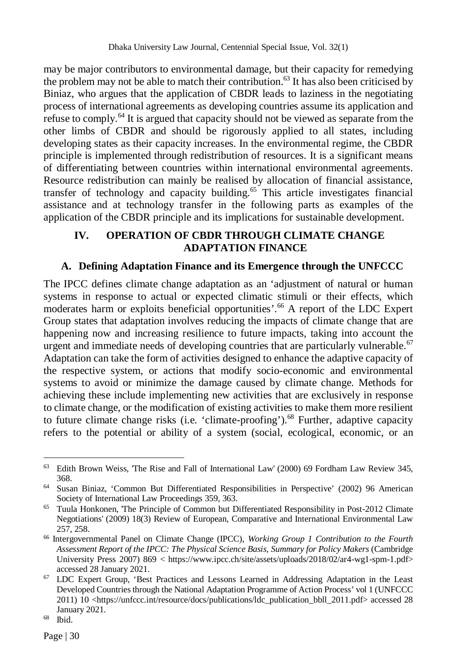may be major contributors to environmental damage, but their capacity for remedying the problem may not be able to match their contribution.<sup>63</sup> It has also been criticised by Biniaz, who argues that the application of CBDR leads to laziness in the negotiating process of international agreements as developing countries assume its application and refuse to comply.<sup>64</sup> It is argued that capacity should not be viewed as separate from the other limbs of CBDR and should be rigorously applied to all states, including developing states as their capacity increases. In the environmental regime, the CBDR principle is implemented through redistribution of resources. It is a significant means of differentiating between countries within international environmental agreements. Resource redistribution can mainly be realised by allocation of financial assistance, transfer of technology and capacity building.<sup>65</sup> This article investigates financial assistance and at technology transfer in the following parts as examples of the application of the CBDR principle and its implications for sustainable development.

### **IV. OPERATION OF CBDR THROUGH CLIMATE CHANGE ADAPTATION FINANCE**

## **A. Defining Adaptation Finance and its Emergence through the UNFCCC**

The IPCC defines climate change adaptation as an 'adjustment of natural or human systems in response to actual or expected climatic stimuli or their effects, which moderates harm or exploits beneficial opportunities'.<sup>66</sup> A report of the LDC Expert Group states that adaptation involves reducing the impacts of climate change that are happening now and increasing resilience to future impacts, taking into account the urgent and immediate needs of developing countries that are particularly vulnerable.<sup>67</sup> Adaptation can take the form of activities designed to enhance the adaptive capacity of the respective system, or actions that modify socio-economic and environmental systems to avoid or minimize the damage caused by climate change. Methods for achieving these include implementing new activities that are exclusively in response to climate change, or the modification of existing activities to make them more resilient to future climate change risks (i.e. 'climate-proofing').<sup>68</sup> Further, adaptive capacity refers to the potential or ability of a system (social, ecological, economic, or an

 $\overline{a}$ <sup>63</sup> Edith Brown Weiss, 'The Rise and Fall of International Law' (2000) 69 Fordham Law Review 345, 368.

<sup>64</sup> Susan Biniaz, 'Common But Differentiated Responsibilities in Perspective' (2002) 96 American Society of International Law Proceedings 359, 363.

<sup>&</sup>lt;sup>65</sup> Tuula Honkonen, The Principle of Common but Differentiated Responsibility in Post-2012 Climate Negotiations' (2009) 18(3) Review of European, Comparative and International Environmental Law 257, 258.

<sup>66</sup> Intergovernmental Panel on Climate Change (IPCC), *Working Group 1 Contribution to the Fourth Assessment Report of the IPCC: The Physical Science Basis, Summary for Policy Makers* (Cambridge University Press 2007) 869 < https://www.ipcc.ch/site/assets/uploads/2018/02/ar4-wg1-spm-1.pdf> accessed 28 January 2021.

<sup>67</sup> LDC Expert Group, 'Best Practices and Lessons Learned in Addressing Adaptation in the Least Developed Countries through the National Adaptation Programme of Action Process' vol 1 (UNFCCC 2011) 10 <https://unfccc.int/resource/docs/publications/ldc\_publication\_bbll\_2011.pdf> accessed 28 January 2021.

<sup>68</sup> Ibid.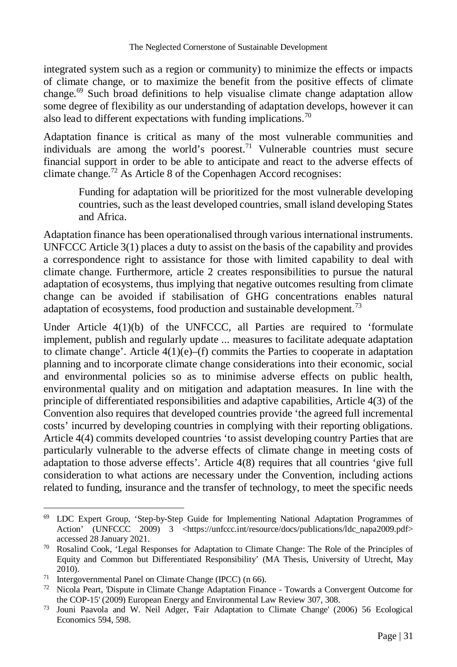integrated system such as a region or community) to minimize the effects or impacts of climate change, or to maximize the benefit from the positive effects of climate change.<sup>69</sup> Such broad definitions to help visualise climate change adaptation allow some degree of flexibility as our understanding of adaptation develops, however it can also lead to different expectations with funding implications.<sup>70</sup>

Adaptation finance is critical as many of the most vulnerable communities and individuals are among the world's poorest.<sup>71</sup> Vulnerable countries must secure financial support in order to be able to anticipate and react to the adverse effects of climate change.<sup>72</sup> As Article 8 of the Copenhagen Accord recognises:

Funding for adaptation will be prioritized for the most vulnerable developing countries, such as the least developed countries, small island developing States and Africa.

Adaptation finance has been operationalised through various international instruments. UNFCCC Article 3(1) places a duty to assist on the basis of the capability and provides a correspondence right to assistance for those with limited capability to deal with climate change. Furthermore, article 2 creates responsibilities to pursue the natural adaptation of ecosystems, thus implying that negative outcomes resulting from climate change can be avoided if stabilisation of GHG concentrations enables natural adaptation of ecosystems, food production and sustainable development.<sup>73</sup>

Under Article 4(1)(b) of the UNFCCC*,* all Parties are required to 'formulate implement, publish and regularly update ... measures to facilitate adequate adaptation to climate change'. Article  $4(1)(e)$ –(f) commits the Parties to cooperate in adaptation planning and to incorporate climate change considerations into their economic, social and environmental policies so as to minimise adverse effects on public health, environmental quality and on mitigation and adaptation measures. In line with the principle of differentiated responsibilities and adaptive capabilities, Article 4(3) of the Convention also requires that developed countries provide 'the agreed full incremental costs' incurred by developing countries in complying with their reporting obligations. Article 4(4) commits developed countries 'to assist developing country Parties that are particularly vulnerable to the adverse effects of climate change in meeting costs of adaptation to those adverse effects'. Article 4(8) requires that all countries 'give full consideration to what actions are necessary under the Convention, including actions related to funding, insurance and the transfer of technology, to meet the specific needs

 $\overline{a}$ <sup>69</sup> LDC Expert Group, 'Step-by-Step Guide for Implementing National Adaptation Programmes of Action' (UNFCCC 2009) 3 <https://unfccc.int/resource/docs/publications/ldc\_napa2009.pdf> accessed 28 January 2021.

<sup>70</sup> Rosalind Cook, 'Legal Responses for Adaptation to Climate Change: The Role of the Principles of Equity and Common but Differentiated Responsibility' (MA Thesis, University of Utrecht, May 2010).

<sup>71</sup> Intergovernmental Panel on Climate Change (IPCC) (n 66).

 $72$  Nicola Peart, 'Dispute in Climate Change Adaptation Finance - Towards a Convergent Outcome for the COP-15' (2009) European Energy and Environmental Law Review 307, 308.

<sup>73</sup> Jouni Paavola and W. Neil Adger, 'Fair Adaptation to Climate Change' (2006) 56 Ecological Economics 594, 598.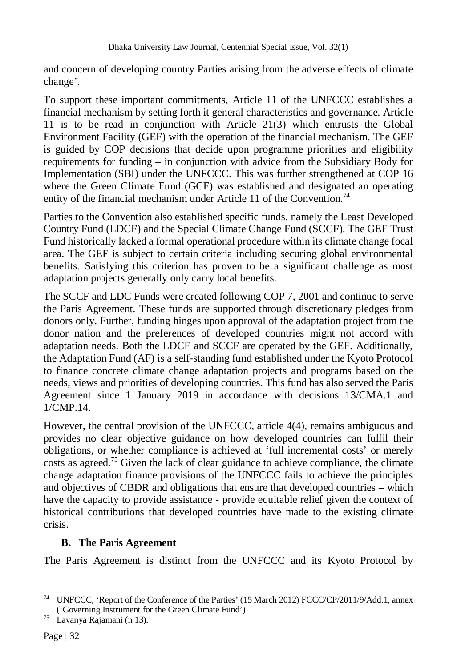and concern of developing country Parties arising from the adverse effects of climate change'.

To support these important commitments, Article 11 of the UNFCCC establishes a financial mechanism by setting forth it general characteristics and governance. Article 11 is to be read in conjunction with Article 21(3) which entrusts the Global Environment Facility (GEF) with the operation of the financial mechanism. The GEF is guided by COP decisions that decide upon programme priorities and eligibility requirements for funding – in conjunction with advice from the Subsidiary Body for Implementation (SBI) under the UNFCCC. This was further strengthened at COP 16 where the Green Climate Fund (GCF) was established and designated an operating entity of the financial mechanism under Article 11 of the Convention.<sup>74</sup>

Parties to the Convention also established specific funds, namely the Least Developed Country Fund (LDCF) and the Special Climate Change Fund (SCCF). The GEF Trust Fund historically lacked a formal operational procedure within its climate change focal area. The GEF is subject to certain criteria including securing global environmental benefits. Satisfying this criterion has proven to be a significant challenge as most adaptation projects generally only carry local benefits.

The SCCF and LDC Funds were created following COP 7, 2001 and continue to serve the Paris Agreement. These funds are supported through discretionary pledges from donors only. Further, funding hinges upon approval of the adaptation project from the donor nation and the preferences of developed countries might not accord with adaptation needs. Both the LDCF and SCCF are operated by the GEF. Additionally, the Adaptation Fund (AF) is a self-standing fund established under the Kyoto Protocol to finance concrete climate change adaptation projects and programs based on the needs, views and priorities of developing countries. This fund has also served the Paris Agreement since 1 January 2019 in accordance with decisions 13/CMA.1 and 1/CMP.14.

However, the central provision of the UNFCCC, article 4(4), remains ambiguous and provides no clear objective guidance on how developed countries can fulfil their obligations, or whether compliance is achieved at 'full incremental costs' or merely costs as agreed.<sup>75</sup> Given the lack of clear guidance to achieve compliance, the climate change adaptation finance provisions of the UNFCCC fails to achieve the principles and objectives of CBDR and obligations that ensure that developed countries – which have the capacity to provide assistance - provide equitable relief given the context of historical contributions that developed countries have made to the existing climate crisis.

## **B. The Paris Agreement**

The Paris Agreement is distinct from the UNFCCC and its Kyoto Protocol by

<sup>74</sup> UNFCCC, 'Report of the Conference of the Parties' (15 March 2012) FCCC/CP/2011/9/Add.1, annex ('Governing Instrument for the Green Climate Fund')

<sup>75</sup> Lavanya Rajamani (n 13).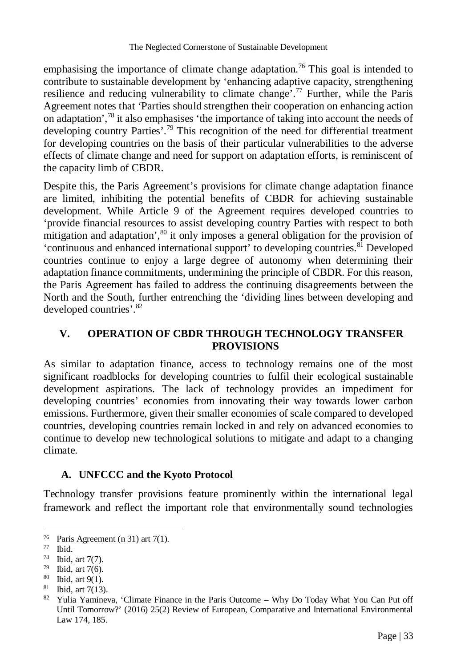emphasising the importance of climate change adaptation.<sup>76</sup> This goal is intended to contribute to sustainable development by 'enhancing adaptive capacity, strengthening resilience and reducing vulnerability to climate change'.<sup>77</sup> Further, while the Paris Agreement notes that 'Parties should strengthen their cooperation on enhancing action on adaptation',<sup>78</sup> it also emphasises 'the importance of taking into account the needs of developing country Parties'.<sup>79</sup> This recognition of the need for differential treatment for developing countries on the basis of their particular vulnerabilities to the adverse effects of climate change and need for support on adaptation efforts, is reminiscent of the capacity limb of CBDR.

Despite this, the Paris Agreement's provisions for climate change adaptation finance are limited, inhibiting the potential benefits of CBDR for achieving sustainable development. While Article 9 of the Agreement requires developed countries to 'provide financial resources to assist developing country Parties with respect to both mitigation and adaptation', $80$  it only imposes a general obligation for the provision of 'continuous and enhanced international support' to developing countries.<sup>81</sup> Developed countries continue to enjoy a large degree of autonomy when determining their adaptation finance commitments, undermining the principle of CBDR. For this reason, the Paris Agreement has failed to address the continuing disagreements between the North and the South, further entrenching the 'dividing lines between developing and developed countries'.<sup>82</sup>

## **V. OPERATION OF CBDR THROUGH TECHNOLOGY TRANSFER PROVISIONS**

As similar to adaptation finance, access to technology remains one of the most significant roadblocks for developing countries to fulfil their ecological sustainable development aspirations. The lack of technology provides an impediment for developing countries' economies from innovating their way towards lower carbon emissions. Furthermore, given their smaller economies of scale compared to developed countries, developing countries remain locked in and rely on advanced economies to continue to develop new technological solutions to mitigate and adapt to a changing climate.

## **A. UNFCCC and the Kyoto Protocol**

Technology transfer provisions feature prominently within the international legal framework and reflect the important role that environmentally sound technologies

<sup>&</sup>lt;sup>76</sup> Paris Agreement (n 31) art 7(1).<br>
<sup>77</sup> Ibid

 $\frac{77}{78}$  Ibid.

Ibid, art  $7(7)$ .

 $79$  Ibid, art 7(6).

<sup>80</sup> Ibid, art 9(1).

 $81$  Ibid, art 7(13).

<sup>82</sup> Yulia Yamineva, 'Climate Finance in the Paris Outcome – Why Do Today What You Can Put off Until Tomorrow?' (2016) 25(2) Review of European, Comparative and International Environmental Law 174, 185.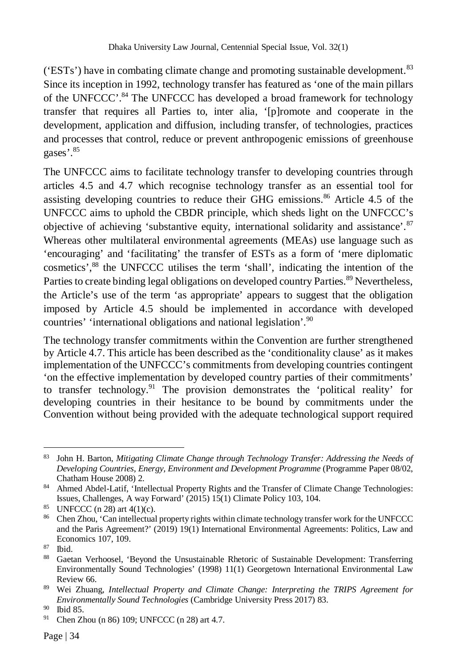( $'ESTs'$ ) have in combating climate change and promoting sustainable development.<sup>83</sup> Since its inception in 1992, technology transfer has featured as 'one of the main pillars of the UNFCCC'.<sup>84</sup> The UNFCCC has developed a broad framework for technology transfer that requires all Parties to, inter alia, '[p]romote and cooperate in the development, application and diffusion, including transfer, of technologies, practices and processes that control, reduce or prevent anthropogenic emissions of greenhouse gases'.<sup>85</sup>

The UNFCCC aims to facilitate technology transfer to developing countries through articles 4.5 and 4.7 which recognise technology transfer as an essential tool for assisting developing countries to reduce their GHG emissions. $86$  Article 4.5 of the UNFCCC aims to uphold the CBDR principle, which sheds light on the UNFCCC's objective of achieving 'substantive equity, international solidarity and assistance'.<sup>87</sup> Whereas other multilateral environmental agreements (MEAs) use language such as 'encouraging' and 'facilitating' the transfer of ESTs as a form of 'mere diplomatic cosmetics',<sup>88</sup> the UNFCCC utilises the term 'shall', indicating the intention of the Parties to create binding legal obligations on developed country Parties.<sup>89</sup> Nevertheless, the Article's use of the term 'as appropriate' appears to suggest that the obligation imposed by Article 4.5 should be implemented in accordance with developed countries' 'international obligations and national legislation'.<sup>90</sup>

The technology transfer commitments within the Convention are further strengthened by Article 4.7. This article has been described as the 'conditionality clause' as it makes implementation of the UNFCCC's commitments from developing countries contingent 'on the effective implementation by developed country parties of their commitments' to transfer technology.<sup>91</sup> The provision demonstrates the 'political reality' for developing countries in their hesitance to be bound by commitments under the Convention without being provided with the adequate technological support required

 $\overline{a}$ <sup>83</sup> John H. Barton, *Mitigating Climate Change through Technology Transfer: Addressing the Needs of Developing Countries, Energy, Environment and Development Programme* (Programme Paper 08/02, Chatham House 2008) 2.

<sup>84</sup> Ahmed Abdel-Latif, 'Intellectual Property Rights and the Transfer of Climate Change Technologies: Issues, Challenges, A way Forward' (2015) 15(1) Climate Policy 103, 104.

<sup>85</sup> UNFCCC (n 28) art  $4(1)(c)$ .

<sup>86</sup> Chen Zhou, 'Can intellectual property rights within climate technology transfer work for the UNFCCC and the Paris Agreement?' (2019) 19(1) International Environmental Agreements: Politics, Law and Economics 107, 109.

 $\frac{87}{88}$  Ibid.

<sup>88</sup> Gaetan Verhoosel, 'Beyond the Unsustainable Rhetoric of Sustainable Development: Transferring Environmentally Sound Technologies' (1998) 11(1) Georgetown International Environmental Law Review 66.

<sup>89</sup> Wei Zhuang, *Intellectual Property and Climate Change: Interpreting the TRIPS Agreement for Environmentally Sound Technologies* (Cambridge University Press 2017) 83.

 $^{90}$  Ibid 85.<br> $^{91}$  Chen 71

Chen Zhou (n 86) 109; UNFCCC (n 28) art 4.7.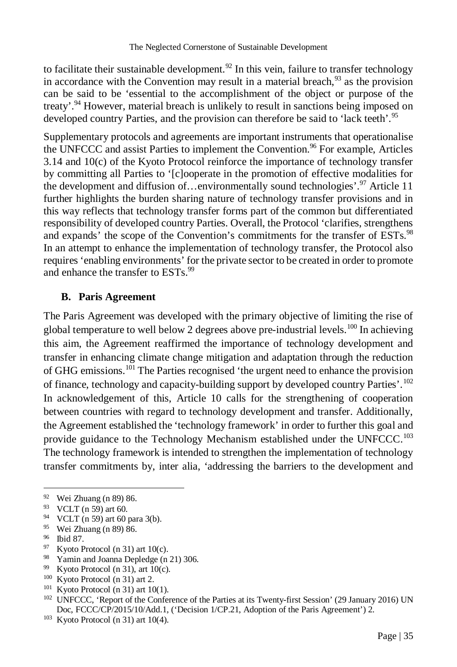to facilitate their sustainable development.<sup>92</sup> In this vein, failure to transfer technology in accordance with the Convention may result in a material breach,  $93$  as the provision can be said to be 'essential to the accomplishment of the object or purpose of the treaty'.<sup>94</sup> However, material breach is unlikely to result in sanctions being imposed on developed country Parties, and the provision can therefore be said to 'lack teeth'.<sup>95</sup>

Supplementary protocols and agreements are important instruments that operationalise the UNFCCC and assist Parties to implement the Convention.<sup>96</sup> For example, Articles 3.14 and 10(c) of the Kyoto Protocol reinforce the importance of technology transfer by committing all Parties to '[c]ooperate in the promotion of effective modalities for the development and diffusion of...environmentally sound technologies'.<sup>97</sup> Article 11 further highlights the burden sharing nature of technology transfer provisions and in this way reflects that technology transfer forms part of the common but differentiated responsibility of developed country Parties. Overall, the Protocol 'clarifies, strengthens and expands' the scope of the Convention's commitments for the transfer of ESTs.<sup>98</sup> In an attempt to enhance the implementation of technology transfer, the Protocol also requires 'enabling environments' for the private sector to be created in order to promote and enhance the transfer to ESTs.<sup>99</sup>

#### **B. Paris Agreement**

The Paris Agreement was developed with the primary objective of limiting the rise of global temperature to well below 2 degrees above pre-industrial levels.<sup>100</sup> In achieving this aim, the Agreement reaffirmed the importance of technology development and transfer in enhancing climate change mitigation and adaptation through the reduction of GHG emissions.<sup>101</sup> The Parties recognised 'the urgent need to enhance the provision of finance, technology and capacity-building support by developed country Parties'.<sup>102</sup> In acknowledgement of this, Article 10 calls for the strengthening of cooperation between countries with regard to technology development and transfer. Additionally, the Agreement established the 'technology framework' in order to further this goal and provide guidance to the Technology Mechanism established under the UNFCCC.<sup>103</sup> The technology framework is intended to strengthen the implementation of technology transfer commitments by, inter alia, 'addressing the barriers to the development and

- Kyoto Protocol (n 31) art  $10(c)$ .
- <sup>98</sup> Yamin and Joanna Depledge (n 21) 306.
- <sup>99</sup> Kyoto Protocol (n 31), art 10(c).
- <sup>100</sup> Kyoto Protocol (n 31) art 2.
- $101$  Kyoto Protocol (n 31) art 10(1).

<sup>92</sup> Wei Zhuang (n 89) 86.

<sup>93</sup> VCLT (n 59) art 60.

<sup>94</sup> VCLT (n 59) art 60 para 3(b).

<sup>95</sup> Wei Zhuang (n 89) 86.

<sup>&</sup>lt;sup>96</sup> Ibid 87.<br><sup>97</sup> K voto P

<sup>102</sup> UNFCCC, 'Report of the Conference of the Parties at its Twenty-first Session' (29 January 2016) UN Doc, FCCC/CP/2015/10/Add.1, ('Decision 1/CP.21, Adoption of the Paris Agreement') 2.

 $103$  Kyoto Protocol (n 31) art 10(4).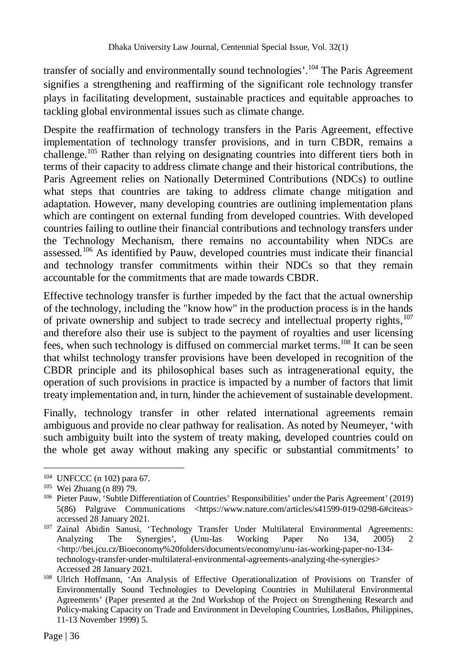transfer of socially and environmentally sound technologies'.<sup>104</sup> The Paris Agreement signifies a strengthening and reaffirming of the significant role technology transfer plays in facilitating development, sustainable practices and equitable approaches to tackling global environmental issues such as climate change.

Despite the reaffirmation of technology transfers in the Paris Agreement, effective implementation of technology transfer provisions, and in turn CBDR, remains a challenge.<sup>105</sup> Rather than relying on designating countries into different tiers both in terms of their capacity to address climate change and their historical contributions, the Paris Agreement relies on Nationally Determined Contributions (NDCs) to outline what steps that countries are taking to address climate change mitigation and adaptation. However, many developing countries are outlining implementation plans which are contingent on external funding from developed countries. With developed countries failing to outline their financial contributions and technology transfers under the Technology Mechanism, there remains no accountability when NDCs are assessed.<sup>106</sup> As identified by Pauw, developed countries must indicate their financial and technology transfer commitments within their NDCs so that they remain accountable for the commitments that are made towards CBDR.

Effective technology transfer is further impeded by the fact that the actual ownership of the technology, including the "know how" in the production process is in the hands of private ownership and subject to trade secrecy and intellectual property rights,<sup>107</sup> and therefore also their use is subject to the payment of royalties and user licensing fees, when such technology is diffused on commercial market terms.<sup>108</sup> It can be seen that whilst technology transfer provisions have been developed in recognition of the CBDR principle and its philosophical bases such as intragenerational equity, the operation of such provisions in practice is impacted by a number of factors that limit treaty implementation and, in turn, hinder the achievement of sustainable development.

Finally, technology transfer in other related international agreements remain ambiguous and provide no clear pathway for realisation. As noted by Neumeyer, 'with such ambiguity built into the system of treaty making, developed countries could on the whole get away without making any specific or substantial commitments' to

<sup>104</sup> UNFCCC (n 102) para 67.

<sup>105</sup> Wei Zhuang (n 89) 79.

<sup>106</sup> Pieter Pauw, 'Subtle Differentiation of Countries' Responsibilities' under the Paris Agreement' (2019) 5(86) Palgrave Communications <https://www.nature.com/articles/s41599-019-0298-6#citeas> accessed 28 January 2021.

<sup>&</sup>lt;sup>107</sup> Zainal Abidin Sanusi, 'Technology Transfer Under Multilateral Environmental Agreements:<br>Analyzing The Synergies', (Unu-Ias Working Paper No 134, 2005) 2 Analyzing The Synergies', (Unu-Ias Working Paper No 134, 2005) 2 <http://bei.jcu.cz/Bioeconomy%20folders/documents/economy/unu-ias-working-paper-no-134 technology-transfer-under-multilateral-environmental-agreements-analyzing-the-synergies> Accessed 28 January 2021.

<sup>108</sup> Ulrich Hoffmann, 'An Analysis of Effective Operationalization of Provisions on Transfer of Environmentally Sound Technologies to Developing Countries in Multilateral Environmental Agreements' (Paper presented at the 2nd Workshop of the Project on Strengthening Research and Policy-making Capacity on Trade and Environment in Developing Countries, LosBaños, Philippines, 11-13 November 1999) 5.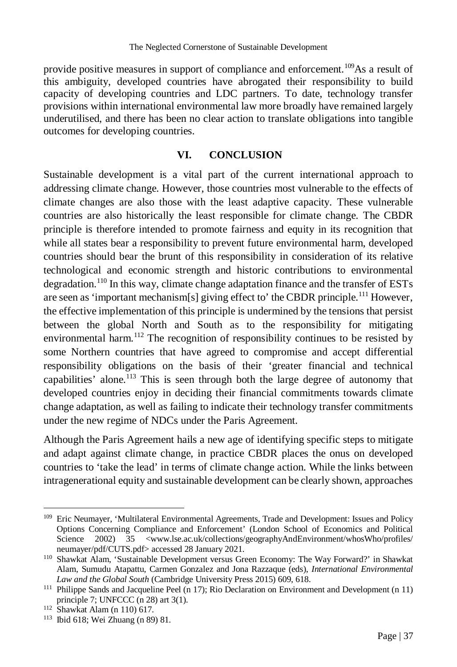provide positive measures in support of compliance and enforcement.<sup>109</sup>As a result of this ambiguity, developed countries have abrogated their responsibility to build capacity of developing countries and LDC partners. To date, technology transfer provisions within international environmental law more broadly have remained largely underutilised, and there has been no clear action to translate obligations into tangible outcomes for developing countries.

## **VI. CONCLUSION**

Sustainable development is a vital part of the current international approach to addressing climate change. However, those countries most vulnerable to the effects of climate changes are also those with the least adaptive capacity. These vulnerable countries are also historically the least responsible for climate change. The CBDR principle is therefore intended to promote fairness and equity in its recognition that while all states bear a responsibility to prevent future environmental harm, developed countries should bear the brunt of this responsibility in consideration of its relative technological and economic strength and historic contributions to environmental degradation.<sup>110</sup> In this way, climate change adaptation finance and the transfer of ESTs are seen as 'important mechanism[s] giving effect to' the CBDR principle.<sup>111</sup> However, the effective implementation of this principle is undermined by the tensions that persist between the global North and South as to the responsibility for mitigating environmental harm.<sup>112</sup> The recognition of responsibility continues to be resisted by some Northern countries that have agreed to compromise and accept differential responsibility obligations on the basis of their 'greater financial and technical capabilities' alone.<sup>113</sup> This is seen through both the large degree of autonomy that developed countries enjoy in deciding their financial commitments towards climate change adaptation, as well as failing to indicate their technology transfer commitments under the new regime of NDCs under the Paris Agreement.

Although the Paris Agreement hails a new age of identifying specific steps to mitigate and adapt against climate change, in practice CBDR places the onus on developed countries to 'take the lead' in terms of climate change action. While the links between intragenerational equity and sustainable development can be clearly shown, approaches

 $\overline{a}$ 109 Eric Neumayer, 'Multilateral Environmental Agreements, Trade and Development: Issues and Policy Options Concerning Compliance and Enforcement' (London School of Economics and Political Science 2002) 35 <www.lse.ac.uk/collections/geographyAndEnvironment/whosWho/profiles/ Science 2002) 35 <www.lse.ac.uk/collections/geographyAndEnvironment/whosWho/profiles/ neumayer/pdf/CUTS.pdf> accessed 28 January 2021.

<sup>110</sup> Shawkat Alam, 'Sustainable Development versus Green Economy: The Way Forward?' in Shawkat Alam, Sumudu Atapattu, Carmen Gonzalez and Jona Razzaque (eds), *International Environmental Law and the Global South* (Cambridge University Press 2015) 609, 618.

<sup>111</sup> Philippe Sands and Jacqueline Peel (n 17); Rio Declaration on Environment and Development (n 11) principle 7; UNFCCC (n 28) art 3(1).

<sup>112</sup> Shawkat Alam (n 110) 617.

<sup>113</sup> Ibid 618; Wei Zhuang (n 89) 81.